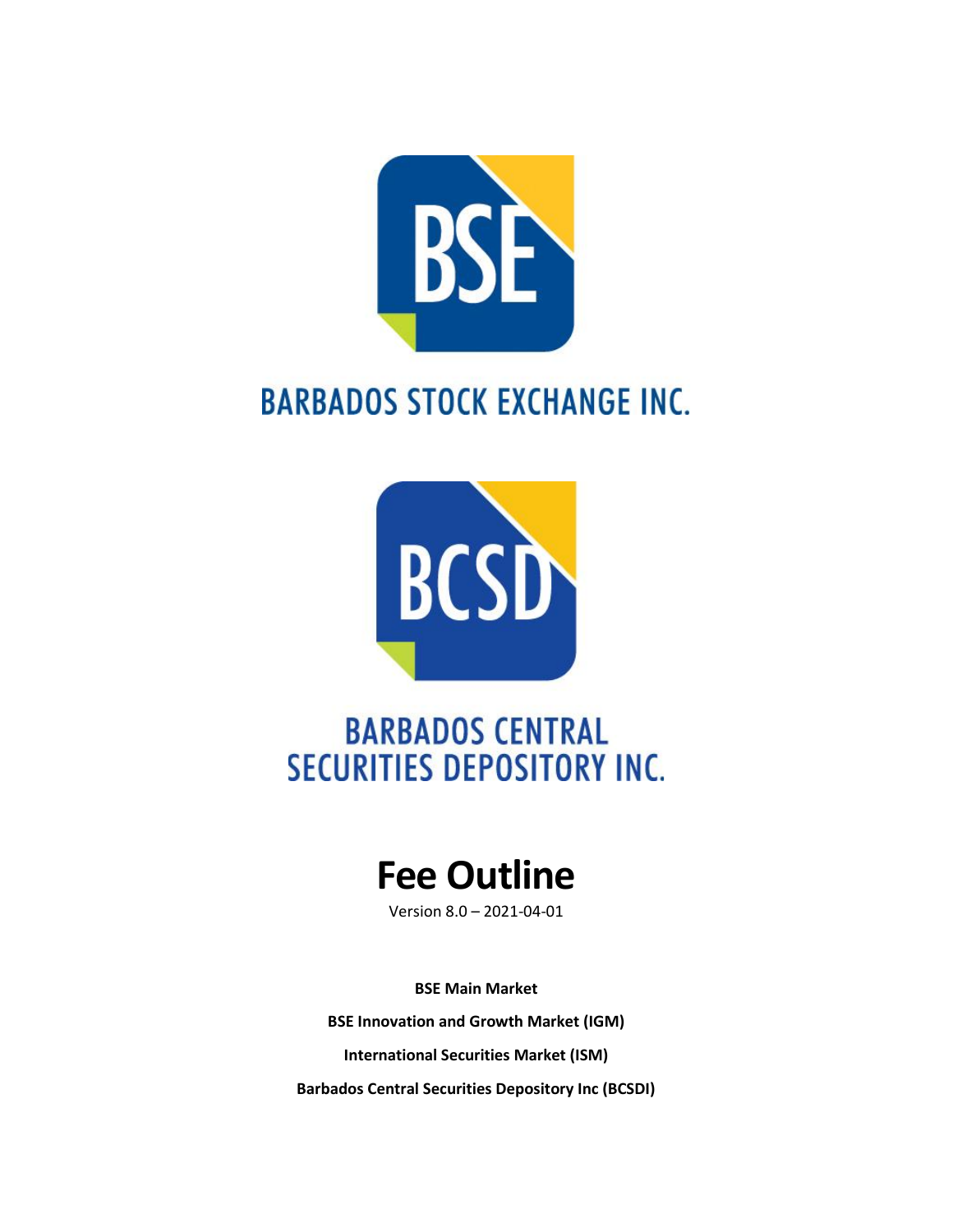

# **BARBADOS STOCK EXCHANGE INC.**



# **BARBADOS CENTRAL SECURITIES DEPOSITORY INC.**

# **Fee Outline**

Version 8.0 – 2021-04-01

**BSE Main Market**

**BSE Innovation and Growth Market (IGM)**

**International Securities Market (ISM)**

**Barbados Central Securities Depository Inc (BCSDI)**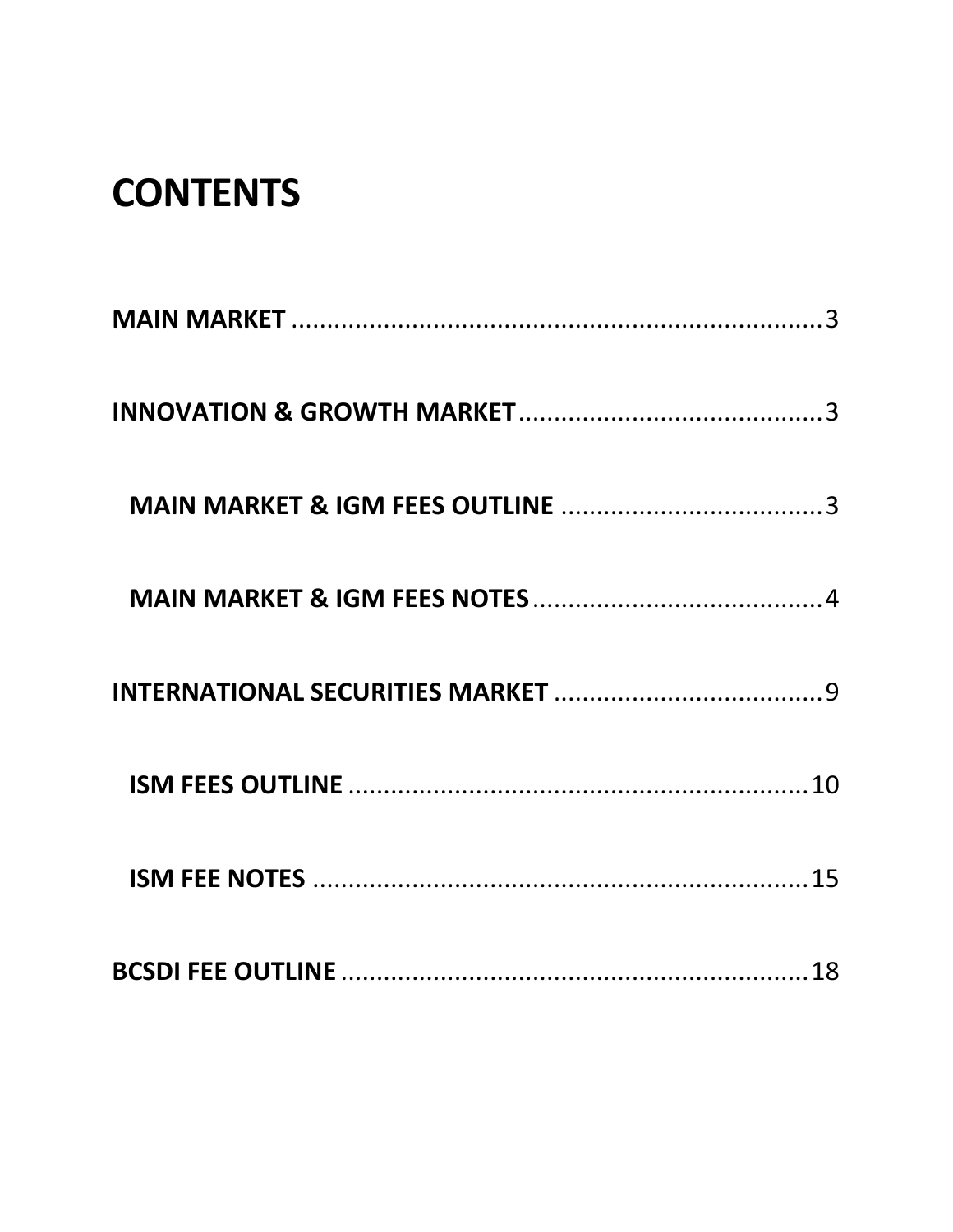# **CONTENTS**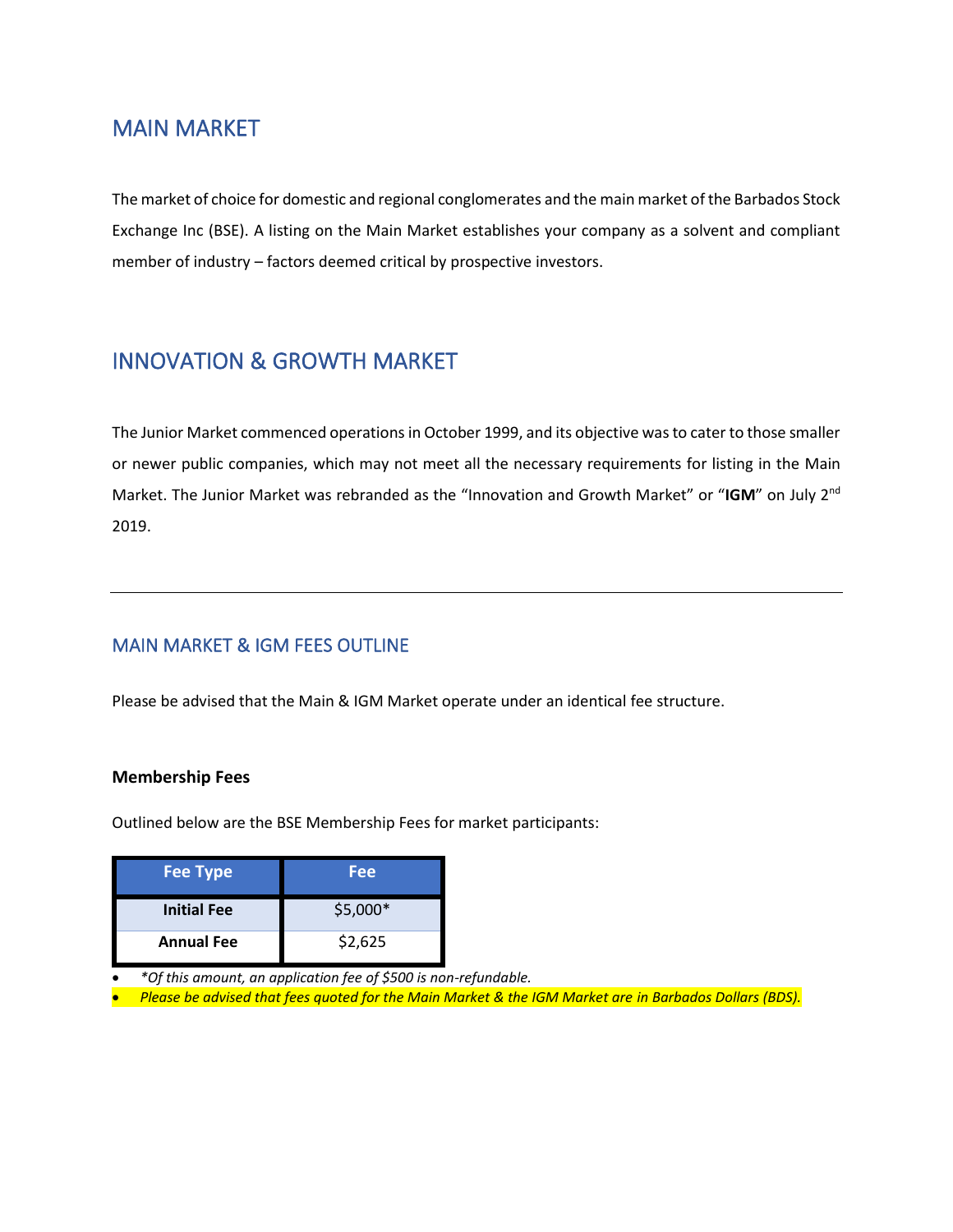# <span id="page-2-0"></span>MAIN MARKET

The market of choice for domestic and regional conglomerates and the main market of the Barbados Stock Exchange Inc (BSE). A listing on the Main Market establishes your company as a solvent and compliant member of industry – factors deemed critical by prospective investors.

# <span id="page-2-1"></span>INNOVATION & GROWTH MARKET

The Junior Market commenced operations in October 1999, and its objective was to cater to those smaller or newer public companies, which may not meet all the necessary requirements for listing in the Main Market. The Junior Market was rebranded as the "Innovation and Growth Market" or "**IGM**" on July 2nd 2019.

## <span id="page-2-2"></span>MAIN MARKET & IGM FEES OUTLINE

Please be advised that the Main & IGM Market operate under an identical fee structure.

### **Membership Fees**

Outlined below are the BSE Membership Fees for market participants:

| <b>Fee Type</b>    | Fee      |
|--------------------|----------|
| <b>Initial Fee</b> | \$5,000* |
| <b>Annual Fee</b>  | \$2,625  |

• *\*Of this amount, an application fee of \$500 is non-refundable.*

• *Please be advised that fees quoted for the Main Market & the IGM Market are in Barbados Dollars (BDS).*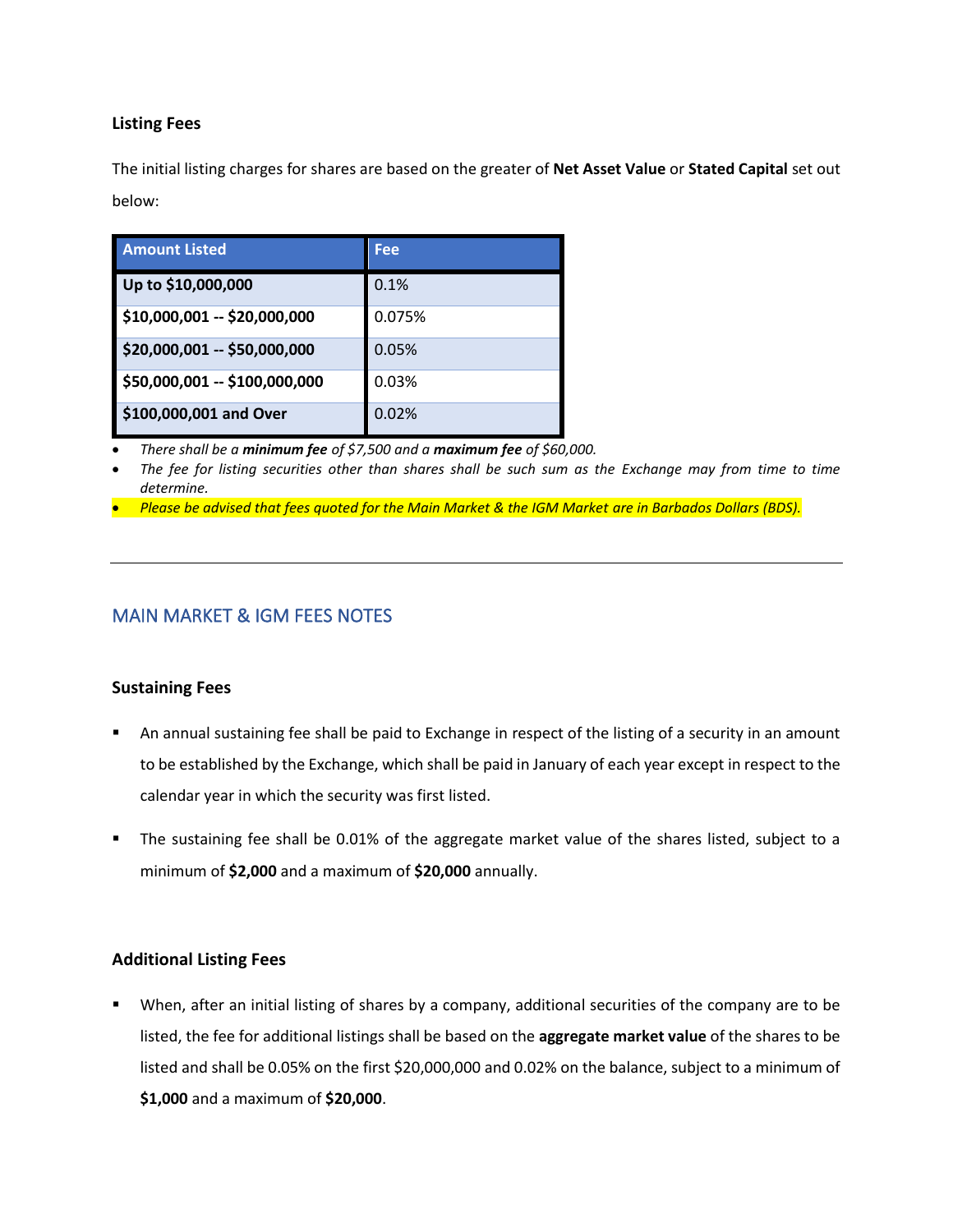### **Listing Fees**

The initial listing charges for shares are based on the greater of **Net Asset Value** or **Stated Capital** set out below:

| <b>Amount Listed</b>          | Fee    |
|-------------------------------|--------|
| Up to \$10,000,000            | 0.1%   |
| \$10,000,001 -- \$20,000,000  | 0.075% |
| \$20,000,001 -- \$50,000,000  | 0.05%  |
| \$50,000,001 -- \$100,000,000 | 0.03%  |
| \$100,000,001 and Over        | 0.02%  |

• *There shall be a minimum fee of \$7,500 and a maximum fee of \$60,000.*

• *The fee for listing securities other than shares shall be such sum as the Exchange may from time to time determine.*

• *Please be advised that fees quoted for the Main Market & the IGM Market are in Barbados Dollars (BDS).*

### <span id="page-3-0"></span>MAIN MARKET & IGM FEES NOTES

### **Sustaining Fees**

- An annual sustaining fee shall be paid to Exchange in respect of the listing of a security in an amount to be established by the Exchange, which shall be paid in January of each year except in respect to the calendar year in which the security was first listed.
- The sustaining fee shall be 0.01% of the aggregate market value of the shares listed, subject to a minimum of **\$2,000** and a maximum of **\$20,000** annually.

### **Additional Listing Fees**

When, after an initial listing of shares by a company, additional securities of the company are to be listed, the fee for additional listings shall be based on the **aggregate market value** of the shares to be listed and shall be 0.05% on the first \$20,000,000 and 0.02% on the balance, subject to a minimum of **\$1,000** and a maximum of **\$20,000**.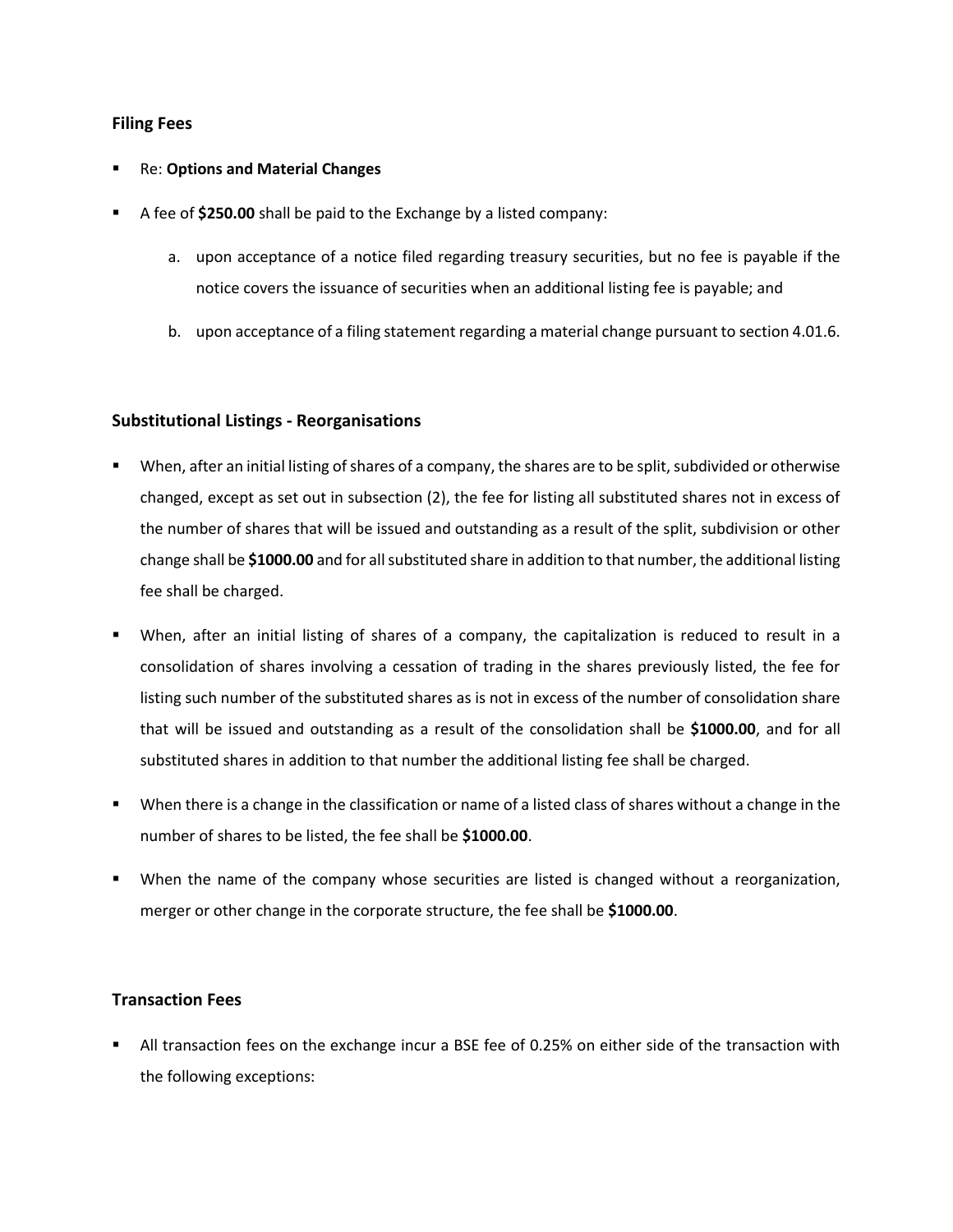### **Filing Fees**

#### **Re: Options and Material Changes**

- A fee of **\$250.00** shall be paid to the Exchange by a listed company:
	- a. upon acceptance of a notice filed regarding treasury securities, but no fee is payable if the notice covers the issuance of securities when an additional listing fee is payable; and
	- b. upon acceptance of a filing statement regarding a material change pursuant to section 4.01.6.

### **Substitutional Listings - Reorganisations**

- When, after an initial listing of shares of a company, the shares are to be split, subdivided or otherwise changed, except as set out in subsection (2), the fee for listing all substituted shares not in excess of the number of shares that will be issued and outstanding as a result of the split, subdivision or other change shall be **\$1000.00** and for all substituted share in addition to that number, the additional listing fee shall be charged.
- When, after an initial listing of shares of a company, the capitalization is reduced to result in a consolidation of shares involving a cessation of trading in the shares previously listed, the fee for listing such number of the substituted shares as is not in excess of the number of consolidation share that will be issued and outstanding as a result of the consolidation shall be **\$1000.00**, and for all substituted shares in addition to that number the additional listing fee shall be charged.
- When there is a change in the classification or name of a listed class of shares without a change in the number of shares to be listed, the fee shall be **\$1000.00**.
- When the name of the company whose securities are listed is changed without a reorganization, merger or other change in the corporate structure, the fee shall be **\$1000.00**.

### **Transaction Fees**

All transaction fees on the exchange incur a BSE fee of 0.25% on either side of the transaction with the following exceptions: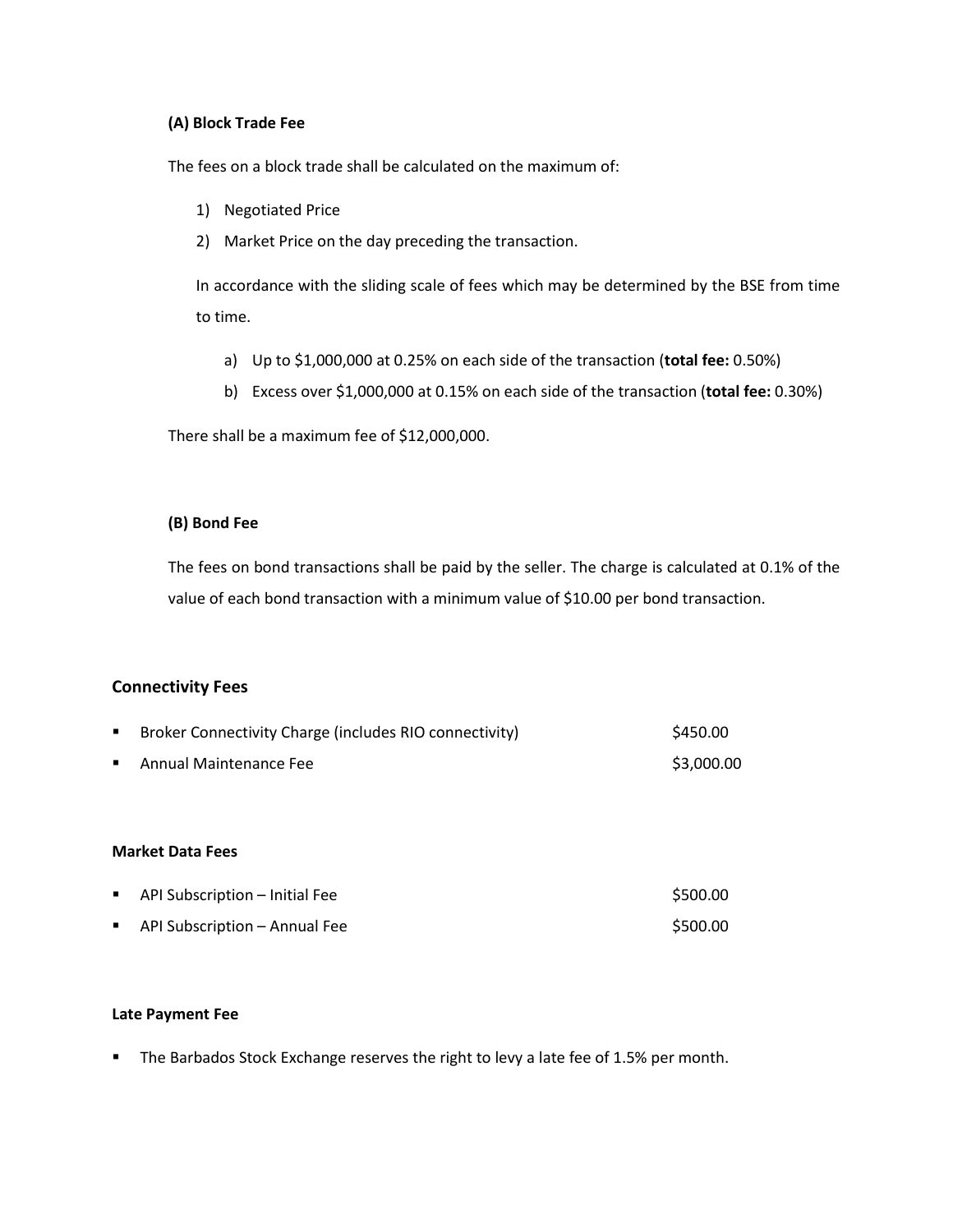### **(A) Block Trade Fee**

The fees on a block trade shall be calculated on the maximum of:

- 1) Negotiated Price
- 2) Market Price on the day preceding the transaction.

In accordance with the sliding scale of fees which may be determined by the BSE from time to time.

- a) Up to \$1,000,000 at 0.25% on each side of the transaction (**total fee:** 0.50%)
- b) Excess over \$1,000,000 at 0.15% on each side of the transaction (**total fee:** 0.30%)

There shall be a maximum fee of \$12,000,000.

### **(B) Bond Fee**

The fees on bond transactions shall be paid by the seller. The charge is calculated at 0.1% of the value of each bond transaction with a minimum value of \$10.00 per bond transaction.

### **Connectivity Fees**

| ٠ | Broker Connectivity Charge (includes RIO connectivity) | \$450.00   |
|---|--------------------------------------------------------|------------|
| ٠ | Annual Maintenance Fee                                 | \$3,000.00 |
|   |                                                        |            |
|   |                                                        |            |
|   | <b>Market Data Fees</b>                                |            |
|   |                                                        |            |
| ٠ | API Subscription - Initial Fee                         | \$500.00   |
| ٠ | API Subscription - Annual Fee                          | \$500.00   |

#### **Late Payment Fee**

■ The Barbados Stock Exchange reserves the right to levy a late fee of 1.5% per month.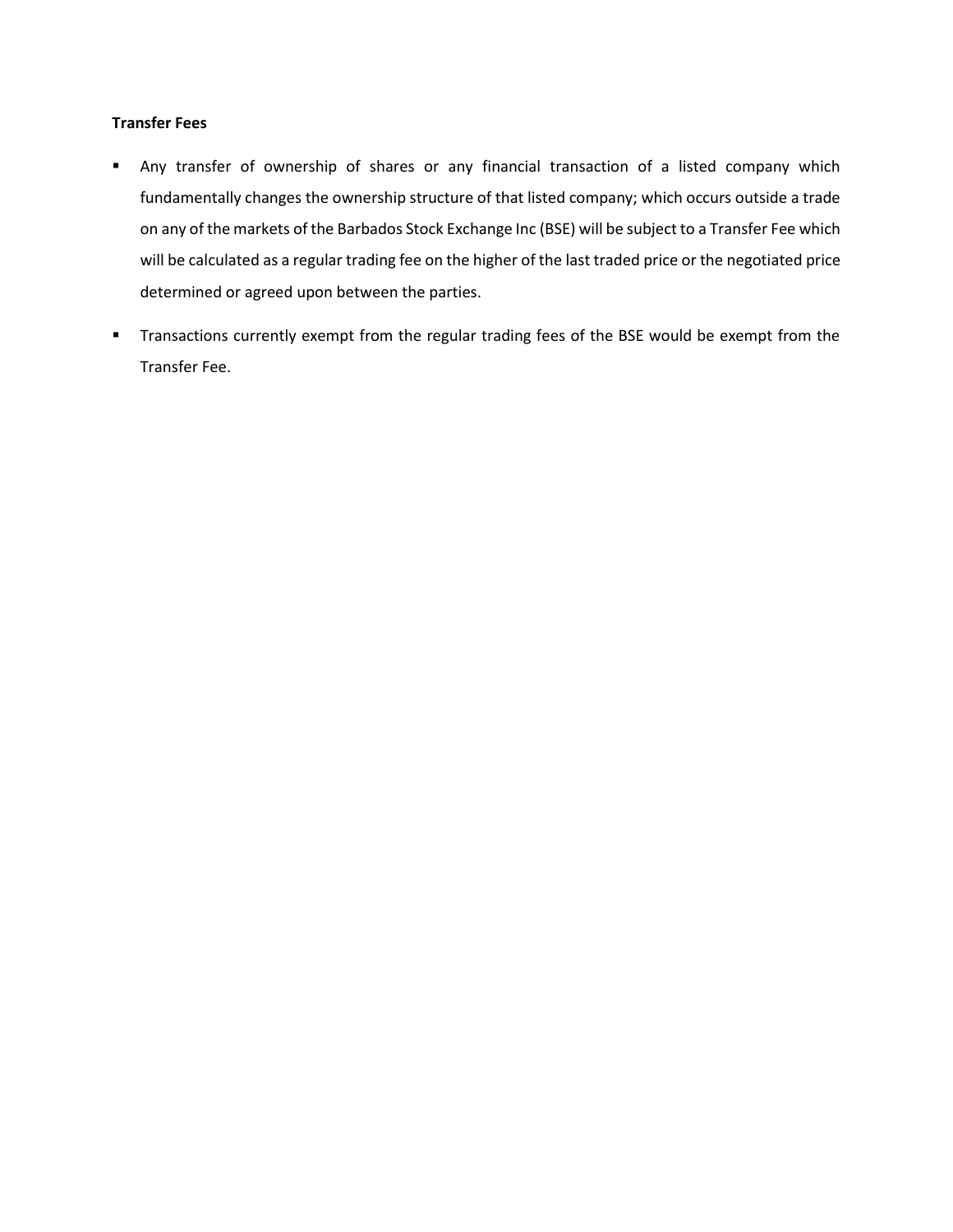#### **Transfer Fees**

- Any transfer of ownership of shares or any financial transaction of a listed company which fundamentally changes the ownership structure of that listed company; which occurs outside a trade on any of the markets of the Barbados Stock Exchange Inc (BSE) will be subject to a Transfer Fee which will be calculated as a regular trading fee on the higher of the last traded price or the negotiated price determined or agreed upon between the parties.
- **■** Transactions currently exempt from the regular trading fees of the BSE would be exempt from the Transfer Fee.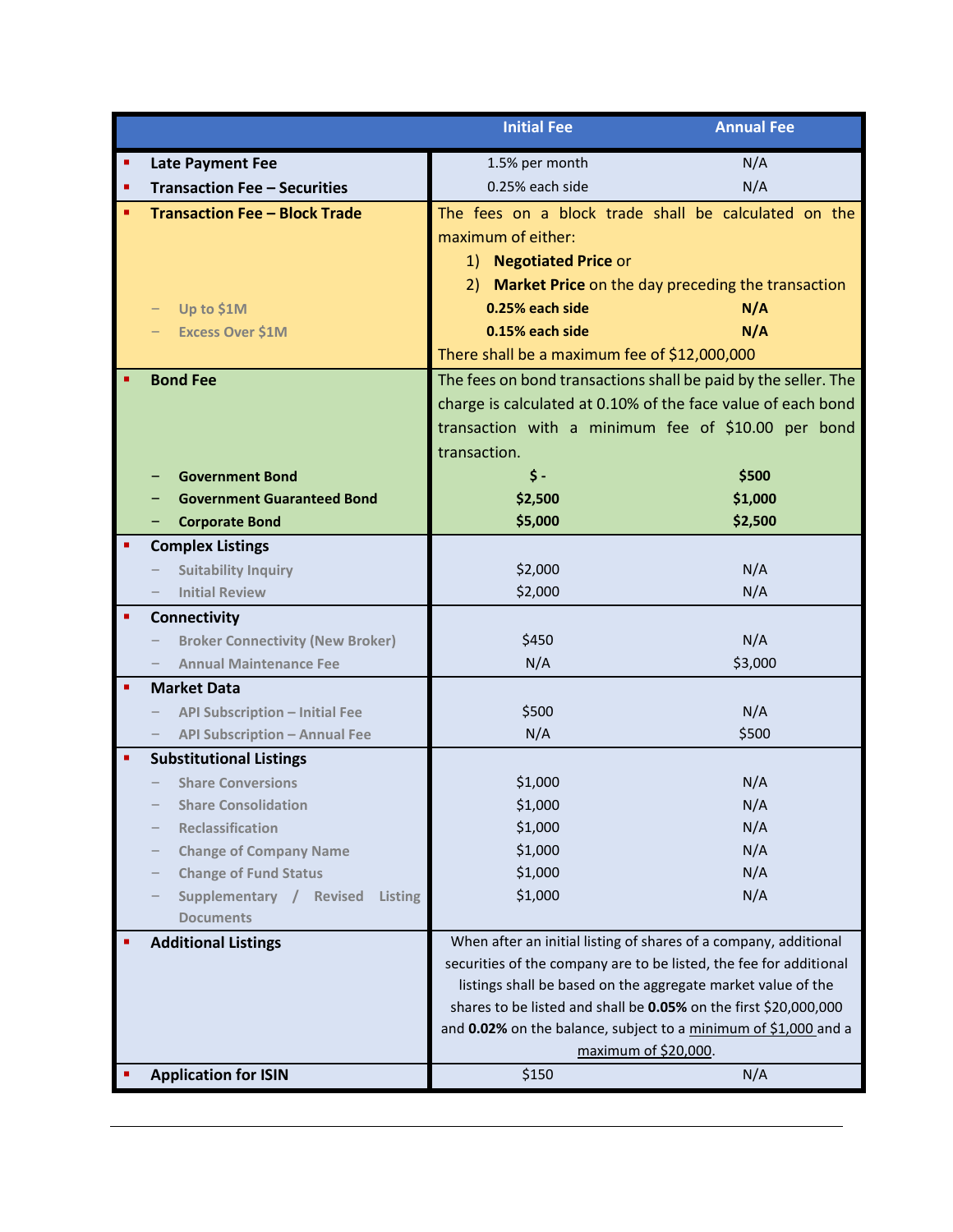|                                                        | <b>Initial Fee</b>                                                                                                                     | <b>Annual Fee</b>                                 |
|--------------------------------------------------------|----------------------------------------------------------------------------------------------------------------------------------------|---------------------------------------------------|
| <b>Late Payment Fee</b>                                | 1.5% per month                                                                                                                         | N/A                                               |
| <b>Transaction Fee - Securities</b>                    | 0.25% each side                                                                                                                        | N/A                                               |
| <b>Transaction Fee - Block Trade</b>                   | The fees on a block trade shall be calculated on the                                                                                   |                                                   |
|                                                        | maximum of either:                                                                                                                     |                                                   |
|                                                        | 1) Negotiated Price or                                                                                                                 |                                                   |
|                                                        | 2)                                                                                                                                     | Market Price on the day preceding the transaction |
| Up to \$1M                                             | 0.25% each side                                                                                                                        | N/A                                               |
| <b>Excess Over \$1M</b>                                | 0.15% each side                                                                                                                        | N/A                                               |
|                                                        | There shall be a maximum fee of \$12,000,000                                                                                           |                                                   |
| <b>Bond Fee</b>                                        | The fees on bond transactions shall be paid by the seller. The                                                                         |                                                   |
|                                                        | charge is calculated at 0.10% of the face value of each bond                                                                           |                                                   |
|                                                        | transaction with a minimum fee of \$10.00 per bond                                                                                     |                                                   |
|                                                        | transaction.                                                                                                                           |                                                   |
| <b>Government Bond</b>                                 | $\frac{1}{2}$                                                                                                                          | \$500                                             |
| <b>Government Guaranteed Bond</b>                      | \$2,500                                                                                                                                | \$1,000                                           |
| <b>Corporate Bond</b>                                  | \$5,000                                                                                                                                | \$2,500                                           |
| <b>Complex Listings</b>                                |                                                                                                                                        |                                                   |
| <b>Suitability Inquiry</b>                             | \$2,000                                                                                                                                | N/A                                               |
| <b>Initial Review</b>                                  | \$2,000                                                                                                                                | N/A                                               |
| <b>Connectivity</b>                                    |                                                                                                                                        |                                                   |
| <b>Broker Connectivity (New Broker)</b>                | \$450                                                                                                                                  | N/A                                               |
| <b>Annual Maintenance Fee</b>                          | N/A                                                                                                                                    | \$3,000                                           |
| <b>Market Data</b>                                     |                                                                                                                                        |                                                   |
| <b>API Subscription - Initial Fee</b><br>—             | \$500                                                                                                                                  | N/A                                               |
| <b>API Subscription - Annual Fee</b>                   | N/A                                                                                                                                    | \$500                                             |
| <b>Substitutional Listings</b>                         |                                                                                                                                        |                                                   |
| <b>Share Conversions</b>                               | \$1,000                                                                                                                                | N/A                                               |
| <b>Share Consolidation</b>                             | \$1,000                                                                                                                                | N/A                                               |
| <b>Reclassification</b>                                | \$1,000                                                                                                                                | N/A                                               |
| <b>Change of Company Name</b>                          | \$1,000                                                                                                                                | N/A                                               |
| <b>Change of Fund Status</b>                           | \$1,000                                                                                                                                | N/A                                               |
| Supplementary / Revised<br>Listing<br><b>Documents</b> | \$1,000                                                                                                                                | N/A                                               |
| <b>Additional Listings</b>                             |                                                                                                                                        |                                                   |
|                                                        | When after an initial listing of shares of a company, additional<br>securities of the company are to be listed, the fee for additional |                                                   |
|                                                        | listings shall be based on the aggregate market value of the                                                                           |                                                   |
|                                                        | shares to be listed and shall be 0.05% on the first \$20,000,000                                                                       |                                                   |
|                                                        | and 0.02% on the balance, subject to a minimum of \$1,000 and a                                                                        |                                                   |
|                                                        | maximum of \$20,000.                                                                                                                   |                                                   |
| <b>Application for ISIN</b>                            | \$150                                                                                                                                  | N/A                                               |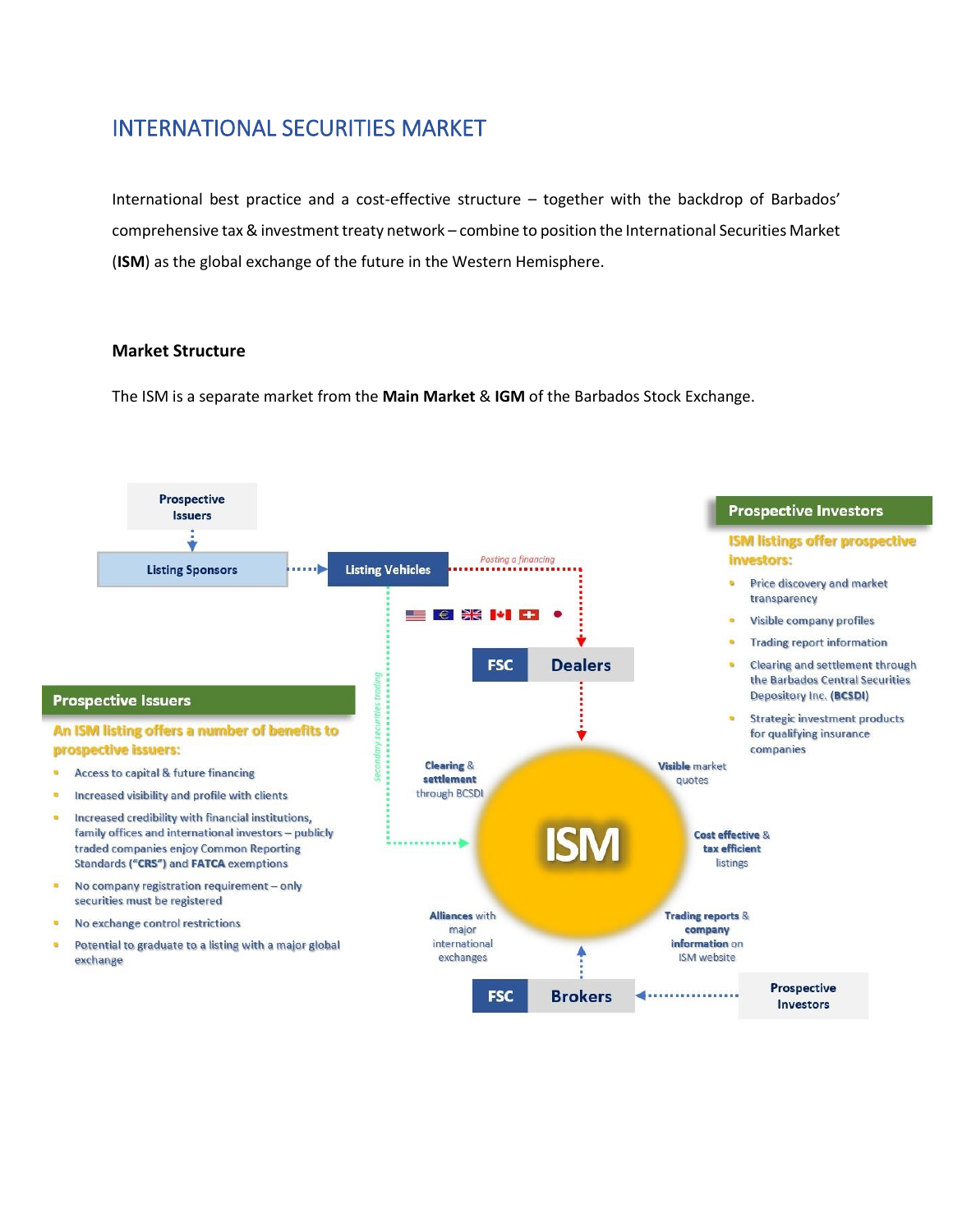# <span id="page-8-0"></span>INTERNATIONAL SECURITIES MARKET

International best practice and a cost-effective structure – together with the backdrop of Barbados' comprehensive tax & investment treaty network – combine to position the International Securities Market (**ISM**) as the global exchange of the future in the Western Hemisphere.

### **Market Structure**

The ISM is a separate market from the **Main Market** & **IGM** of the Barbados Stock Exchange.

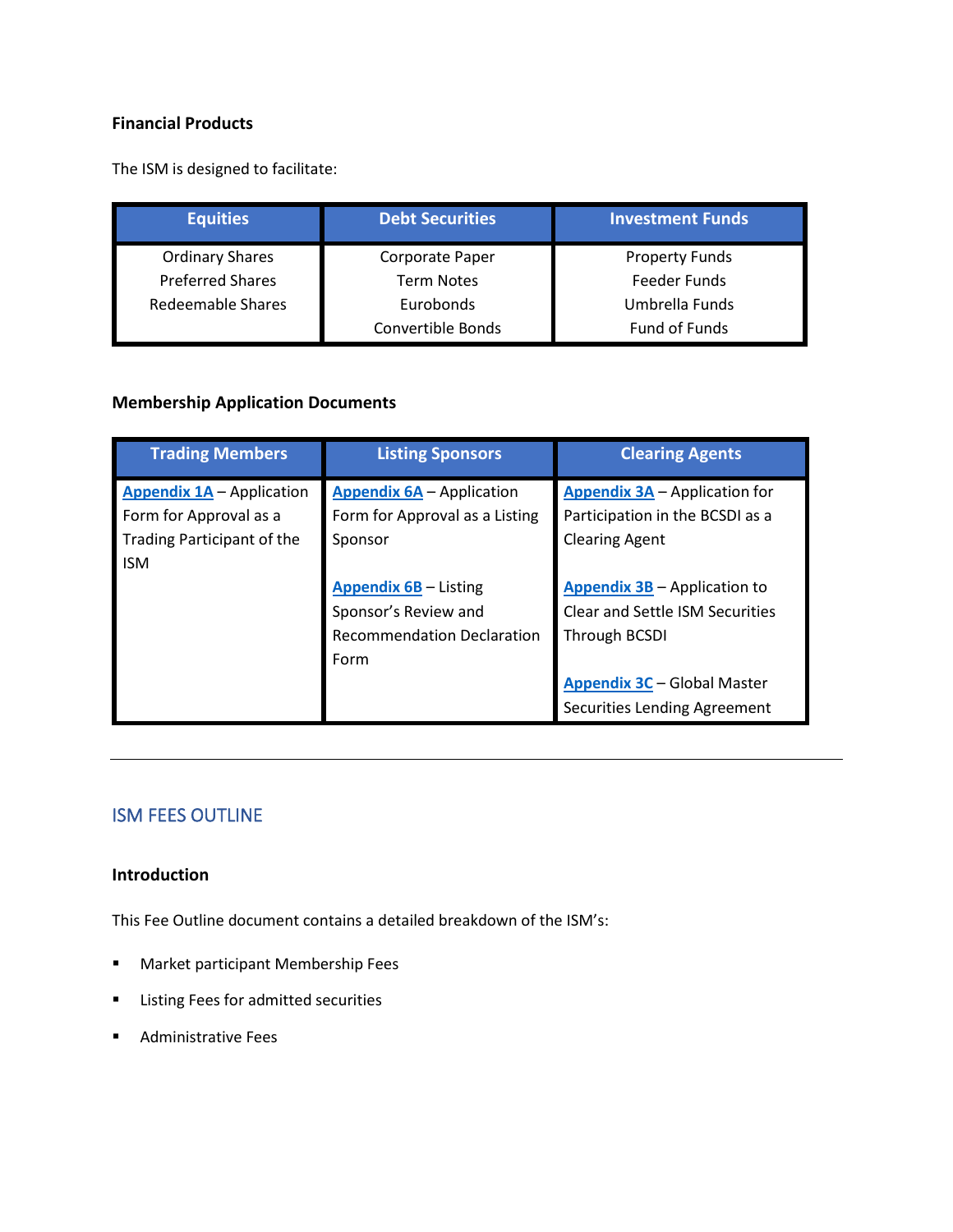## **Financial Products**

The ISM is designed to facilitate:

| <b>Equities</b>         | <b>Debt Securities</b> | <b>Investment Funds</b> |
|-------------------------|------------------------|-------------------------|
| <b>Ordinary Shares</b>  | Corporate Paper        | <b>Property Funds</b>   |
| <b>Preferred Shares</b> | <b>Term Notes</b>      | Feeder Funds            |
| Redeemable Shares       | Eurobonds              | Umbrella Funds          |
|                         | Convertible Bonds      | Fund of Funds           |

### **Membership Application Documents**

| <b>Trading Members</b>           | <b>Listing Sponsors</b>           | <b>Clearing Agents</b>                 |
|----------------------------------|-----------------------------------|----------------------------------------|
| <b>Appendix 1A</b> - Application | <b>Appendix 6A</b> - Application  | <b>Appendix 3A</b> – Application for   |
| Form for Approval as a           | Form for Approval as a Listing    | Participation in the BCSDI as a        |
| Trading Participant of the       | Sponsor                           | <b>Clearing Agent</b>                  |
| <b>ISM</b>                       |                                   |                                        |
|                                  | <b>Appendix 6B - Listing</b>      | Appendix 3B - Application to           |
|                                  | Sponsor's Review and              | <b>Clear and Settle ISM Securities</b> |
|                                  | <b>Recommendation Declaration</b> | <b>Through BCSDI</b>                   |
|                                  | Form                              |                                        |
|                                  |                                   | <b>Appendix 3C - Global Master</b>     |
|                                  |                                   | <b>Securities Lending Agreement</b>    |

## <span id="page-9-0"></span>ISM FEES OUTLINE

### **Introduction**

This Fee Outline document contains a detailed breakdown of the ISM's:

- Market participant Membership Fees
- Listing Fees for admitted securities
- Administrative Fees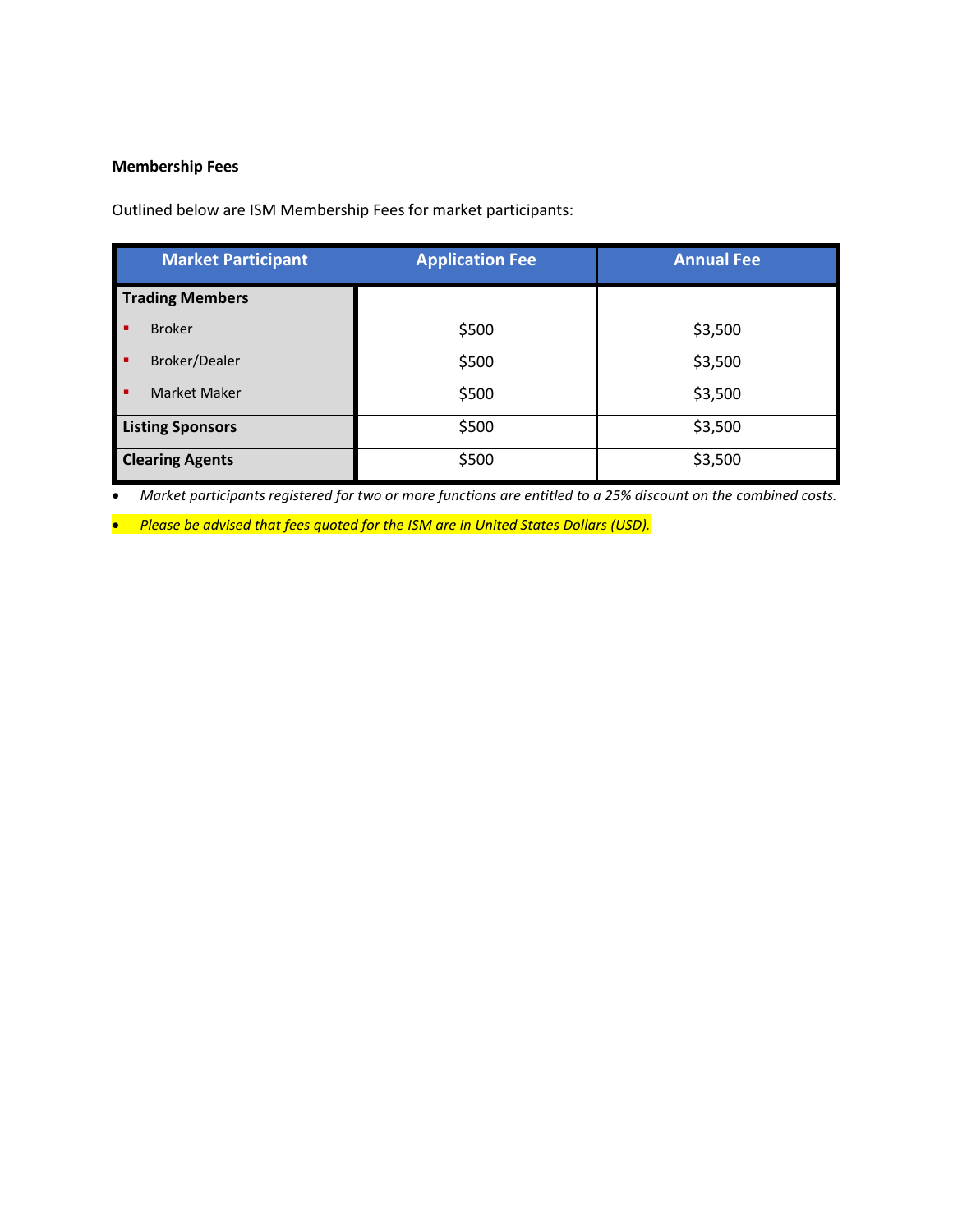### **Membership Fees**

Outlined below are ISM Membership Fees for market participants:

| <b>Market Participant</b> | <b>Application Fee</b> | <b>Annual Fee</b> |
|---------------------------|------------------------|-------------------|
| <b>Trading Members</b>    |                        |                   |
| <b>Broker</b>             | \$500                  | \$3,500           |
| Broker/Dealer<br>п        | \$500                  | \$3,500           |
| <b>Market Maker</b>       | \$500                  | \$3,500           |
| <b>Listing Sponsors</b>   | \$500                  | \$3,500           |
| <b>Clearing Agents</b>    | \$500                  | \$3,500           |

• *Market participants registered for two or more functions are entitled to a 25% discount on the combined costs.*

• *Please be advised that fees quoted for the ISM are in United States Dollars (USD).*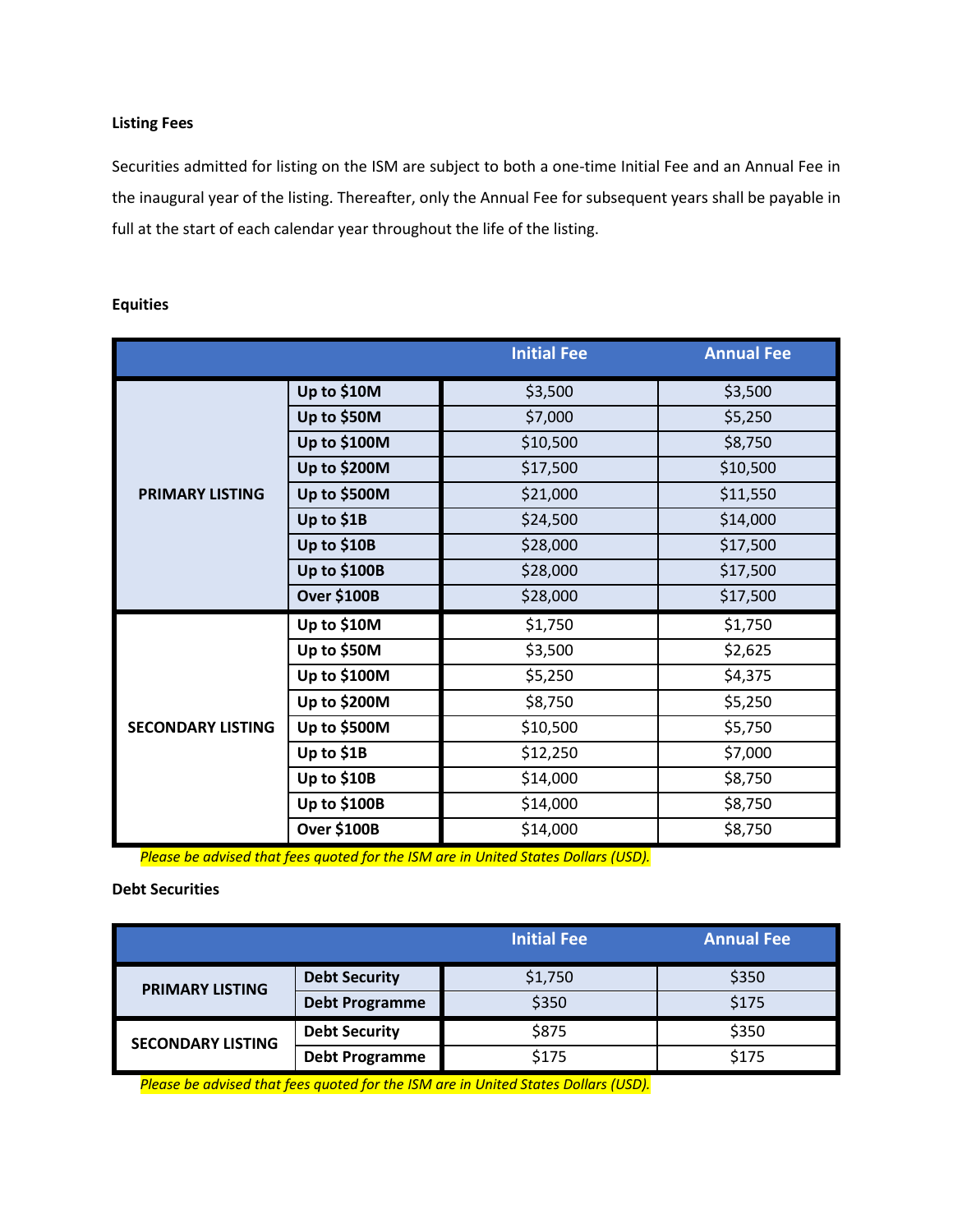### **Listing Fees**

Securities admitted for listing on the ISM are subject to both a one-time Initial Fee and an Annual Fee in the inaugural year of the listing. Thereafter, only the Annual Fee for subsequent years shall be payable in full at the start of each calendar year throughout the life of the listing.

|                          |                    | <b>Initial Fee</b> | <b>Annual Fee</b> |
|--------------------------|--------------------|--------------------|-------------------|
|                          | Up to \$10M        | \$3,500            | \$3,500           |
|                          | Up to \$50M        | \$7,000            | \$5,250           |
|                          | Up to \$100M       | \$10,500           | \$8,750           |
|                          | Up to \$200M       | \$17,500           | \$10,500          |
| <b>PRIMARY LISTING</b>   | Up to \$500M       | \$21,000           | \$11,550          |
|                          | Up to \$1B         | \$24,500           | \$14,000          |
|                          | Up to \$10B        | \$28,000           | \$17,500          |
|                          | Up to \$100B       | \$28,000           | \$17,500          |
|                          | <b>Over \$100B</b> | \$28,000           | \$17,500          |
|                          | Up to \$10M        | \$1,750            | \$1,750           |
|                          | Up to \$50M        | \$3,500            | \$2,625           |
|                          | Up to \$100M       | \$5,250            | \$4,375           |
|                          | Up to \$200M       | \$8,750            | \$5,250           |
| <b>SECONDARY LISTING</b> | Up to \$500M       | \$10,500           | \$5,750           |
|                          | Up to \$1B         | \$12,250           | \$7,000           |
|                          | Up to \$10B        | \$14,000           | \$8,750           |
|                          | Up to \$100B       | \$14,000           | \$8,750           |
|                          | <b>Over \$100B</b> | \$14,000           | \$8,750           |

### **Equities**

*Please be advised that fees quoted for the ISM are in United States Dollars (USD).*

### **Debt Securities**

|                          |                       | <b>Initial Fee</b> | <b>Annual Fee</b> |
|--------------------------|-----------------------|--------------------|-------------------|
| <b>PRIMARY LISTING</b>   | <b>Debt Security</b>  | \$1,750            | \$350             |
|                          | <b>Debt Programme</b> | \$350              | \$175             |
| <b>SECONDARY LISTING</b> | <b>Debt Security</b>  | \$875              | \$350             |
|                          | <b>Debt Programme</b> | \$175              | \$175             |

*Please be advised that fees quoted for the ISM are in United States Dollars (USD).*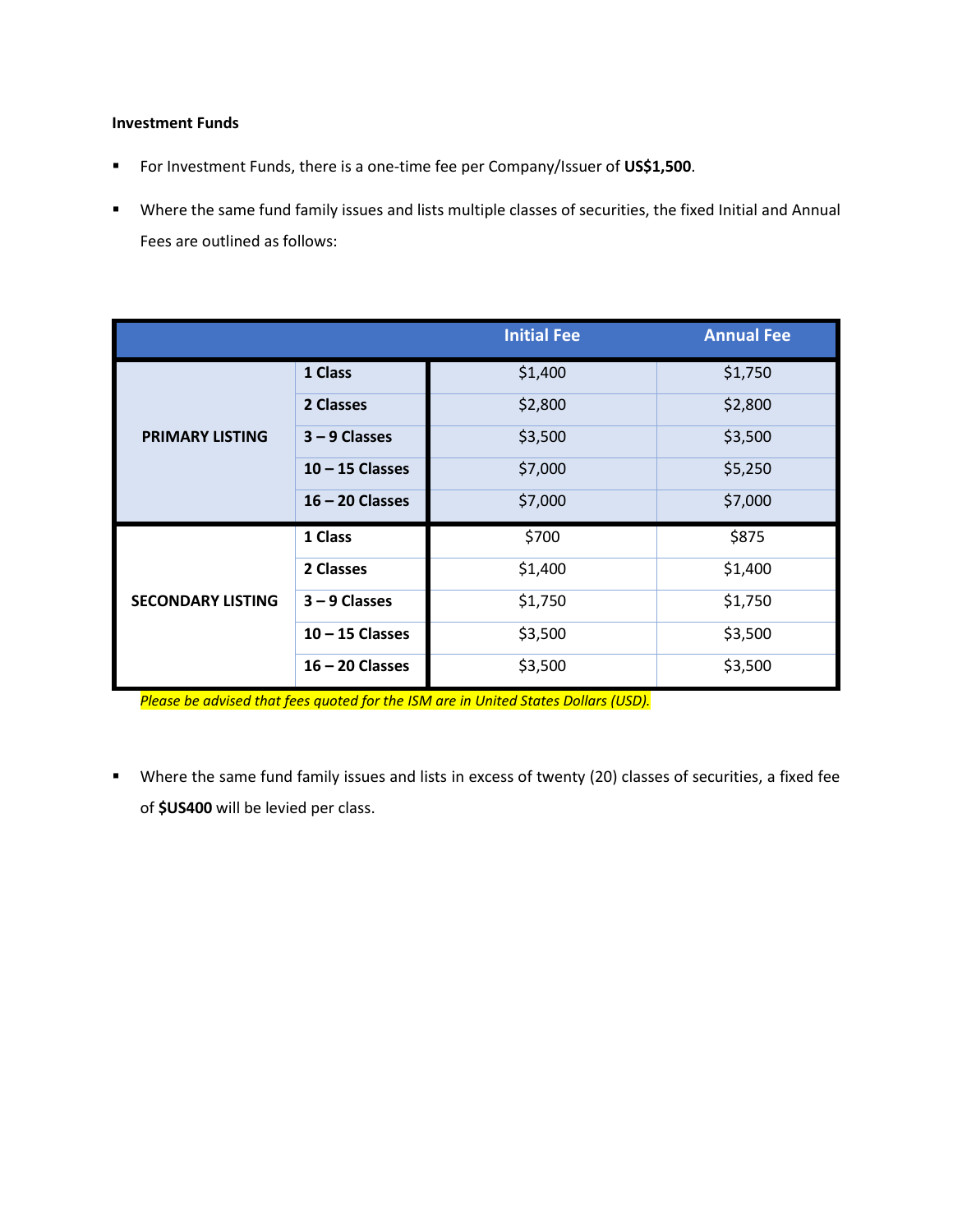### **Investment Funds**

- For Investment Funds, there is a one-time fee per Company/Issuer of **US\$1,500**.
- Where the same fund family issues and lists multiple classes of securities, the fixed Initial and Annual Fees are outlined as follows:

|                          |                   | <b>Initial Fee</b> | <b>Annual Fee</b> |
|--------------------------|-------------------|--------------------|-------------------|
|                          | 1 Class           | \$1,400            | \$1,750           |
|                          | 2 Classes         | \$2,800            | \$2,800           |
| <b>PRIMARY LISTING</b>   | $3 - 9$ Classes   | \$3,500            | \$3,500           |
|                          | $10 - 15$ Classes | \$7,000            | \$5,250           |
|                          | $16 - 20$ Classes | \$7,000            | \$7,000           |
|                          | 1 Class           | \$700              | \$875             |
|                          | 2 Classes         | \$1,400            | \$1,400           |
| <b>SECONDARY LISTING</b> | $3 - 9$ Classes   | \$1,750            | \$1,750           |
|                          | $10 - 15$ Classes | \$3,500            | \$3,500           |
|                          | $16 - 20$ Classes | \$3,500            | \$3,500           |

*Please be advised that fees quoted for the ISM are in United States Dollars (USD).*

■ Where the same fund family issues and lists in excess of twenty (20) classes of securities, a fixed fee of **\$US400** will be levied per class.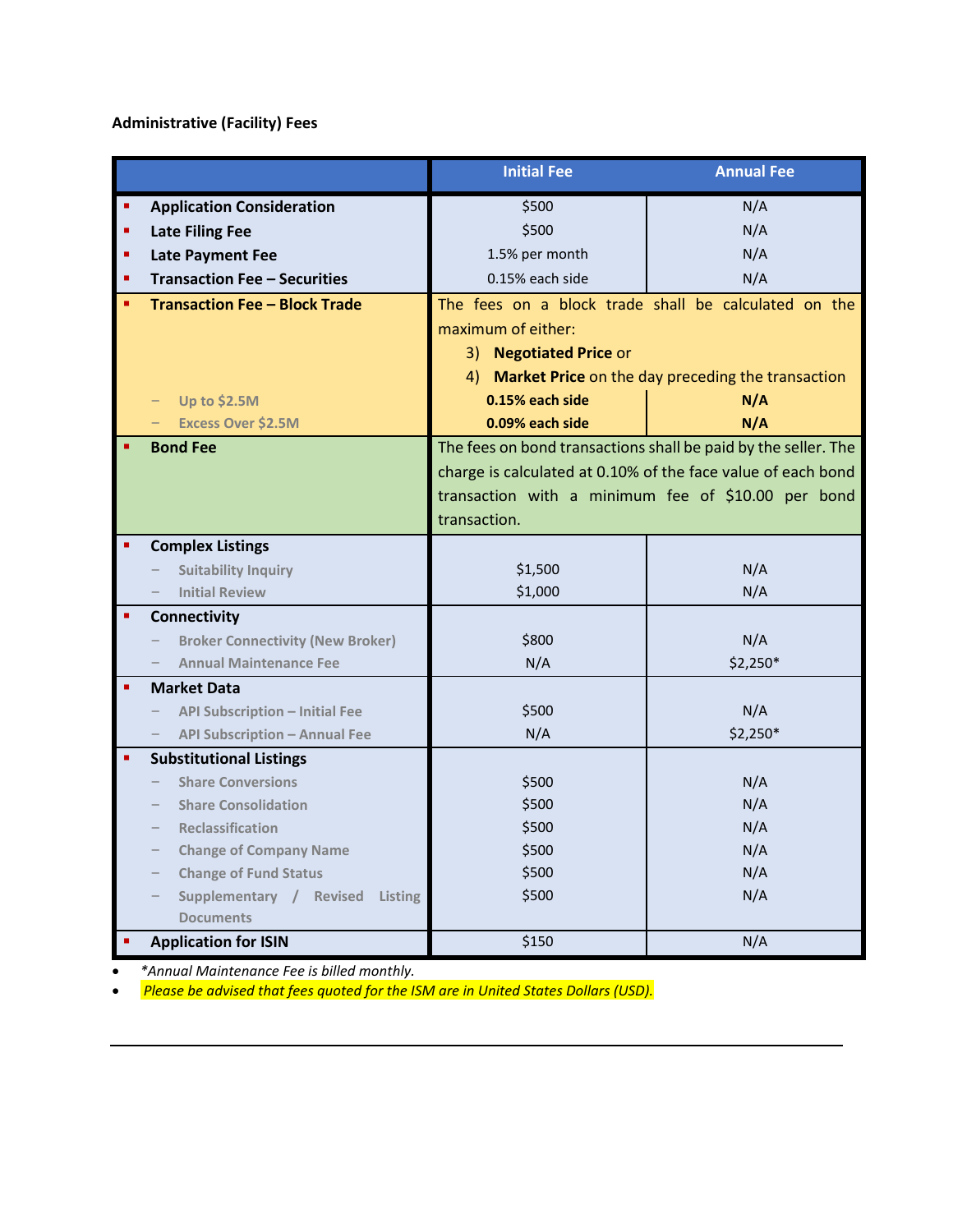## **Administrative (Facility) Fees**

|                                                        | <b>Initial Fee</b>     | <b>Annual Fee</b>                                              |
|--------------------------------------------------------|------------------------|----------------------------------------------------------------|
| <b>Application Consideration</b>                       | \$500                  | N/A                                                            |
| <b>Late Filing Fee</b>                                 | \$500                  | N/A                                                            |
| <b>Late Payment Fee</b>                                | 1.5% per month         | N/A                                                            |
| <b>Transaction Fee - Securities</b>                    | 0.15% each side        | N/A                                                            |
| <b>Transaction Fee - Block Trade</b>                   |                        | The fees on a block trade shall be calculated on the           |
|                                                        | maximum of either:     |                                                                |
|                                                        | 3) Negotiated Price or |                                                                |
|                                                        |                        | 4) Market Price on the day preceding the transaction           |
| <b>Up to \$2.5M</b>                                    | 0.15% each side        | N/A                                                            |
| <b>Excess Over \$2.5M</b>                              | 0.09% each side        | N/A                                                            |
| <b>Bond Fee</b>                                        |                        | The fees on bond transactions shall be paid by the seller. The |
|                                                        |                        | charge is calculated at 0.10% of the face value of each bond   |
|                                                        |                        | transaction with a minimum fee of \$10.00 per bond             |
|                                                        | transaction.           |                                                                |
| <b>Complex Listings</b>                                |                        |                                                                |
| <b>Suitability Inquiry</b>                             | \$1,500                | N/A                                                            |
| <b>Initial Review</b>                                  | \$1,000                | N/A                                                            |
| Connectivity                                           |                        |                                                                |
| <b>Broker Connectivity (New Broker)</b>                | \$800                  | N/A                                                            |
| <b>Annual Maintenance Fee</b>                          | N/A                    | \$2,250*                                                       |
| <b>Market Data</b>                                     |                        |                                                                |
| <b>API Subscription - Initial Fee</b>                  | \$500                  | N/A                                                            |
| <b>API Subscription - Annual Fee</b>                   | N/A                    | \$2,250*                                                       |
| <b>Substitutional Listings</b>                         |                        |                                                                |
| <b>Share Conversions</b><br><b>Share Consolidation</b> | \$500<br>\$500         | N/A                                                            |
| <b>Reclassification</b>                                | \$500                  | N/A<br>N/A                                                     |
| <b>Change of Company Name</b>                          | \$500                  | N/A                                                            |
| <b>Change of Fund Status</b>                           | \$500                  | N/A                                                            |
| Supplementary / Revised Listing                        | \$500                  | N/A                                                            |
| <b>Documents</b>                                       |                        |                                                                |
| <b>Application for ISIN</b>                            | \$150                  | N/A                                                            |

• *\*Annual Maintenance Fee is billed monthly.*

• *Please be advised that fees quoted for the ISM are in United States Dollars (USD).*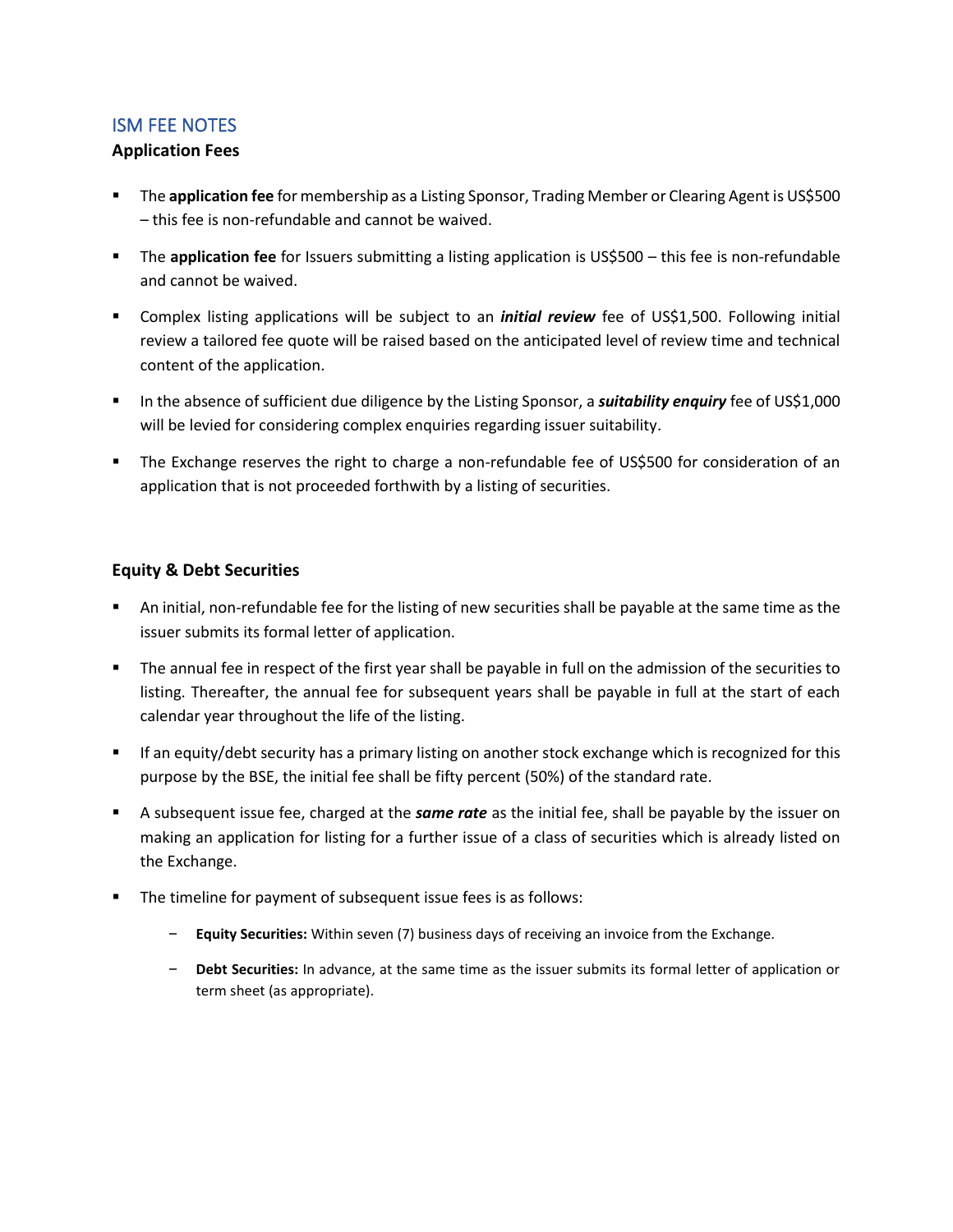### <span id="page-14-0"></span>ISM FEE NOTES

### **Application Fees**

- The **application fee** for membership as a Listing Sponsor, Trading Member or Clearing Agent is US\$500 – this fee is non-refundable and cannot be waived.
- The **application fee** for Issuers submitting a listing application is US\$500 this fee is non-refundable and cannot be waived.
- **EXECOMPLER** Internal applications will be subject to an *initial review* fee of US\$1,500. Following initial review a tailored fee quote will be raised based on the anticipated level of review time and technical content of the application.
- In the absence of sufficient due diligence by the Listing Sponsor, a *suitability enquiry* fee of US\$1,000 will be levied for considering complex enquiries regarding issuer suitability.
- The Exchange reserves the right to charge a non-refundable fee of US\$500 for consideration of an application that is not proceeded forthwith by a listing of securities.

### **Equity & Debt Securities**

- An initial, non-refundable fee for the listing of new securities shall be payable at the same time as the issuer submits its formal letter of application.
- The annual fee in respect of the first year shall be payable in full on the admission of the securities to listing. Thereafter, the annual fee for subsequent years shall be payable in full at the start of each calendar year throughout the life of the listing.
- **■** If an equity/debt security has a primary listing on another stock exchange which is recognized for this purpose by the BSE, the initial fee shall be fifty percent (50%) of the standard rate.
- A subsequent issue fee, charged at the *same rate* as the initial fee, shall be payable by the issuer on making an application for listing for a further issue of a class of securities which is already listed on the Exchange.
- The timeline for payment of subsequent issue fees is as follows:
	- ‒ **Equity Securities:** Within seven (7) business days of receiving an invoice from the Exchange.
	- ‒ **Debt Securities:** In advance, at the same time as the issuer submits its formal letter of application or term sheet (as appropriate).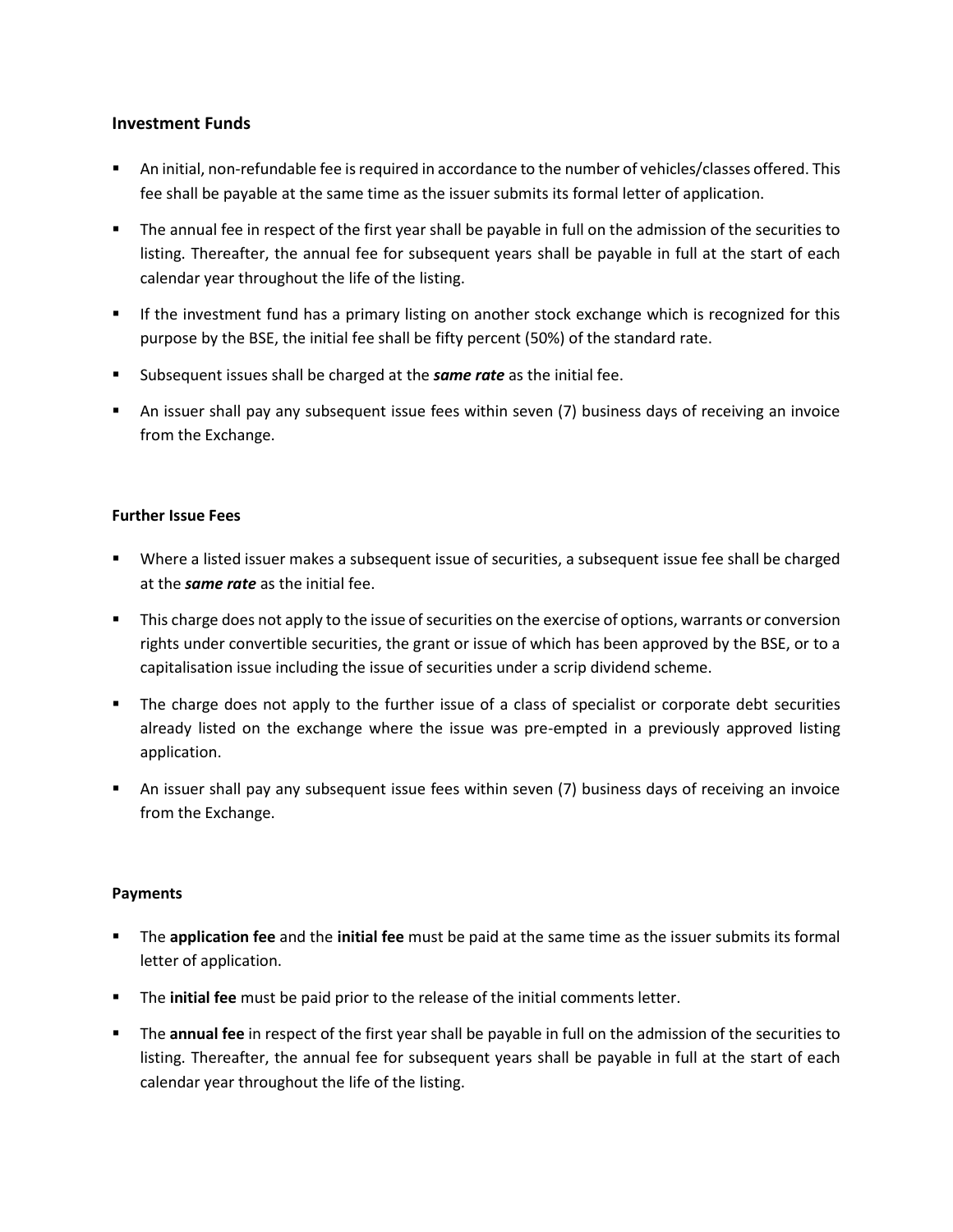### **Investment Funds**

- An initial, non-refundable fee is required in accordance to the number of vehicles/classes offered. This fee shall be payable at the same time as the issuer submits its formal letter of application.
- The annual fee in respect of the first year shall be payable in full on the admission of the securities to listing. Thereafter, the annual fee for subsequent years shall be payable in full at the start of each calendar year throughout the life of the listing.
- **■** If the investment fund has a primary listing on another stock exchange which is recognized for this purpose by the BSE, the initial fee shall be fifty percent (50%) of the standard rate.
- Subsequent issues shall be charged at the *same rate* as the initial fee.
- **•** An issuer shall pay any subsequent issue fees within seven (7) business days of receiving an invoice from the Exchange.

### **Further Issue Fees**

- Where a listed issuer makes a subsequent issue of securities, a subsequent issue fee shall be charged at the *same rate* as the initial fee.
- This charge does not apply to the issue of securities on the exercise of options, warrants or conversion rights under convertible securities, the grant or issue of which has been approved by the BSE, or to a capitalisation issue including the issue of securities under a scrip dividend scheme.
- The charge does not apply to the further issue of a class of specialist or corporate debt securities already listed on the exchange where the issue was pre-empted in a previously approved listing application.
- **•** An issuer shall pay any subsequent issue fees within seven (7) business days of receiving an invoice from the Exchange.

### **Payments**

- The **application fee** and the **initial fee** must be paid at the same time as the issuer submits its formal letter of application.
- **The initial fee** must be paid prior to the release of the initial comments letter.
- The **annual fee** in respect of the first year shall be payable in full on the admission of the securities to listing. Thereafter, the annual fee for subsequent years shall be payable in full at the start of each calendar year throughout the life of the listing.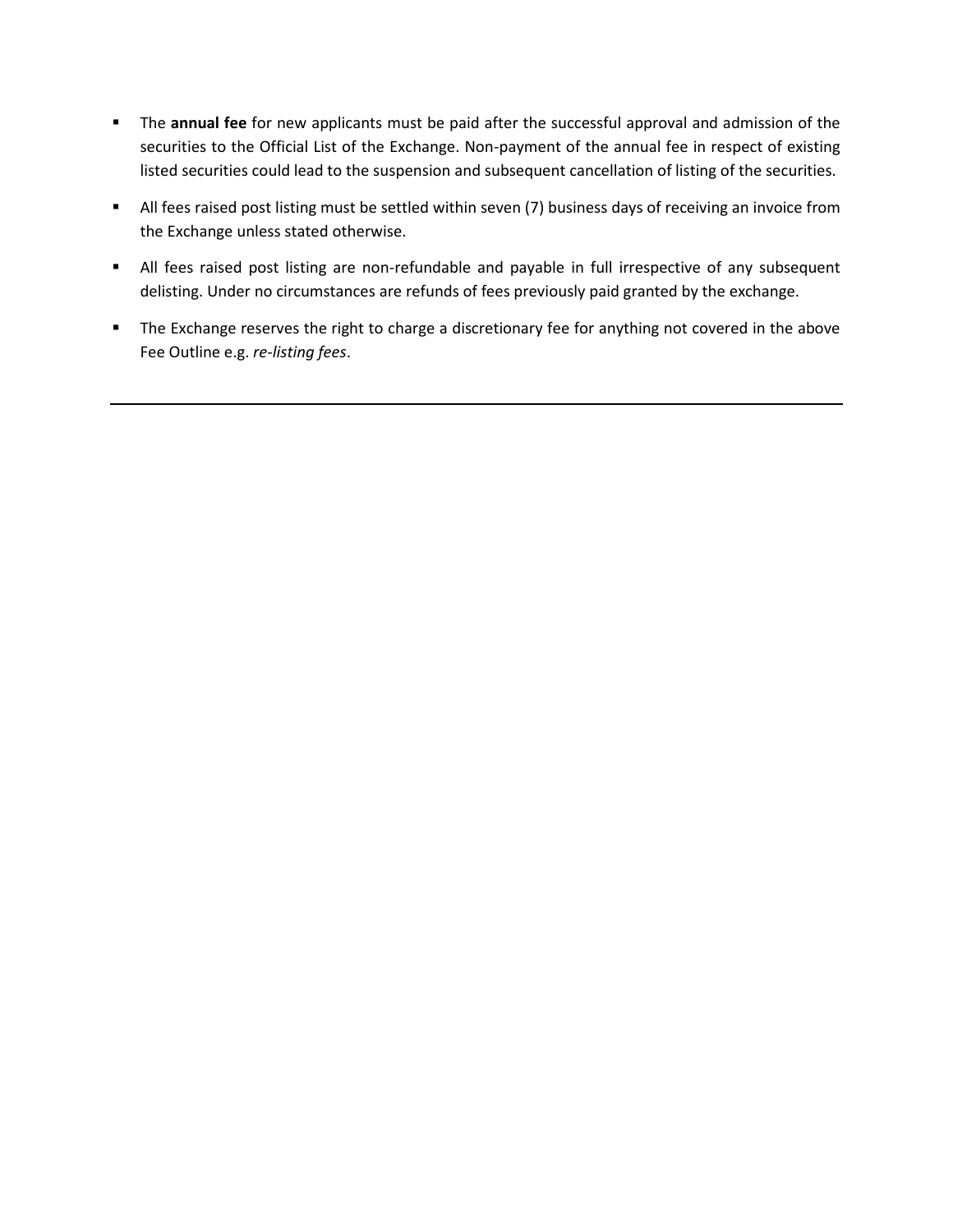- The **annual fee** for new applicants must be paid after the successful approval and admission of the securities to the Official List of the Exchange. Non-payment of the annual fee in respect of existing listed securities could lead to the suspension and subsequent cancellation of listing of the securities.
- All fees raised post listing must be settled within seven (7) business days of receiving an invoice from the Exchange unless stated otherwise.
- All fees raised post listing are non-refundable and payable in full irrespective of any subsequent delisting. Under no circumstances are refunds of fees previously paid granted by the exchange.
- The Exchange reserves the right to charge a discretionary fee for anything not covered in the above Fee Outline e.g. *re-listing fees*.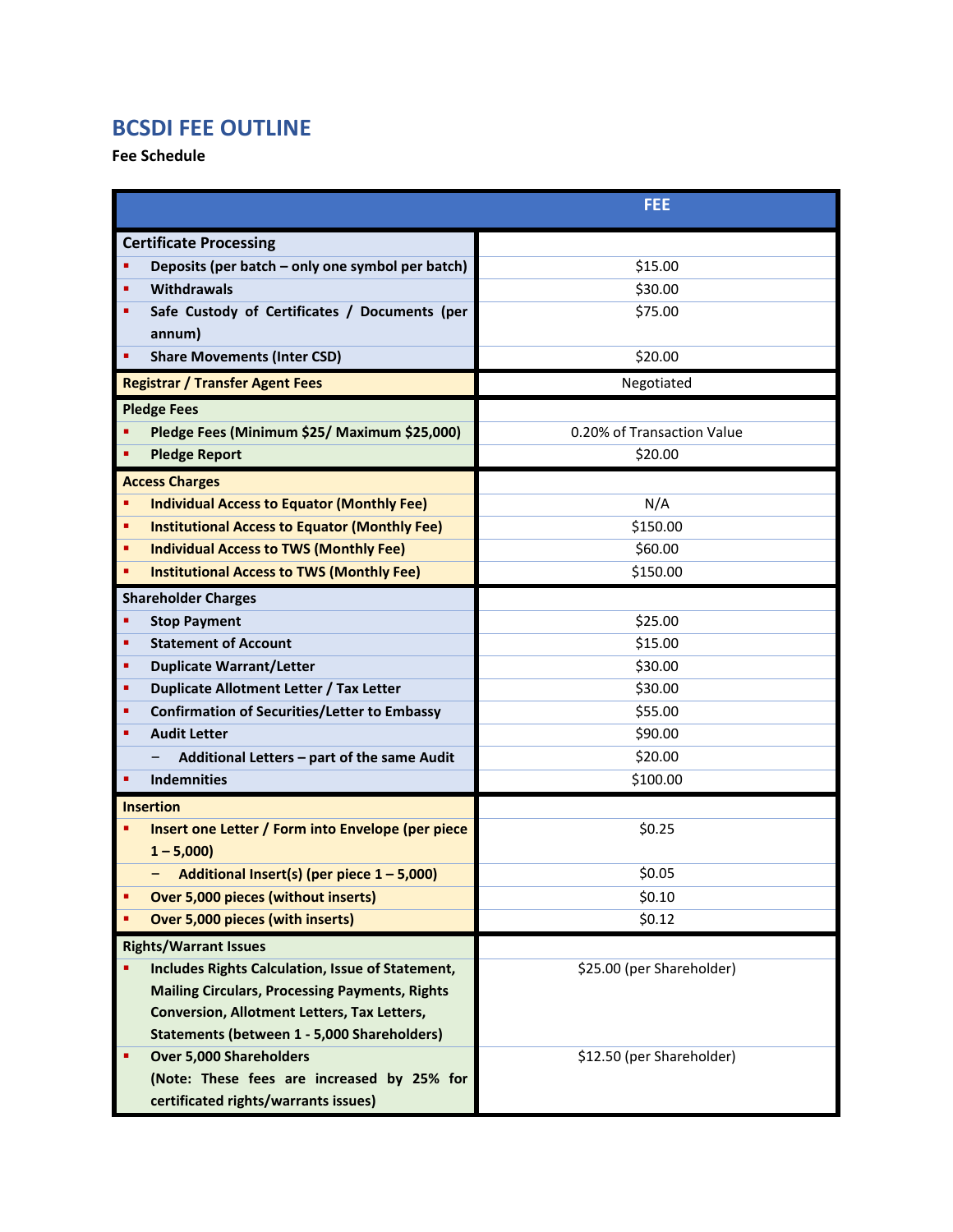# <span id="page-17-0"></span>**BCSDI FEE OUTLINE**

**Fee Schedule**

|                                                                              | <b>FEE</b>                 |  |
|------------------------------------------------------------------------------|----------------------------|--|
| <b>Certificate Processing</b>                                                |                            |  |
| Deposits (per batch - only one symbol per batch)<br>٠                        | \$15.00                    |  |
| Withdrawals<br>٠                                                             | \$30.00                    |  |
| Safe Custody of Certificates / Documents (per                                | \$75.00                    |  |
| annum)                                                                       |                            |  |
| <b>Share Movements (Inter CSD)</b><br>٠                                      | \$20.00                    |  |
| <b>Registrar / Transfer Agent Fees</b>                                       | Negotiated                 |  |
| <b>Pledge Fees</b>                                                           |                            |  |
| Pledge Fees (Minimum \$25/ Maximum \$25,000)                                 | 0.20% of Transaction Value |  |
| <b>Pledge Report</b><br>٠                                                    | \$20.00                    |  |
| <b>Access Charges</b>                                                        |                            |  |
| <b>Individual Access to Equator (Monthly Fee)</b><br>٠                       | N/A                        |  |
| <b>Institutional Access to Equator (Monthly Fee)</b>                         | \$150.00                   |  |
| <b>Individual Access to TWS (Monthly Fee)</b><br>٠                           | \$60.00                    |  |
| <b>Institutional Access to TWS (Monthly Fee)</b><br>٠                        | \$150.00                   |  |
| <b>Shareholder Charges</b>                                                   |                            |  |
| <b>Stop Payment</b><br>٠                                                     | \$25.00                    |  |
| <b>Statement of Account</b><br>٠                                             | \$15.00                    |  |
| <b>Duplicate Warrant/Letter</b><br>٠                                         | \$30.00                    |  |
| Duplicate Allotment Letter / Tax Letter<br>٠                                 | \$30.00                    |  |
| <b>Confirmation of Securities/Letter to Embassy</b><br>٠                     | \$55.00                    |  |
| <b>Audit Letter</b><br>٠                                                     | \$90.00                    |  |
| Additional Letters - part of the same Audit                                  | \$20.00                    |  |
| <b>Indemnities</b>                                                           | \$100.00                   |  |
| <b>Insertion</b>                                                             |                            |  |
| Insert one Letter / Form into Envelope (per piece                            | \$0.25                     |  |
| $1 - 5,000$                                                                  |                            |  |
| Additional Insert(s) (per piece $1 - 5,000$ )                                | \$0.05                     |  |
| Over 5,000 pieces (without inserts)                                          | \$0.10                     |  |
| Over 5,000 pieces (with inserts)                                             | \$0.12                     |  |
| <b>Rights/Warrant Issues</b>                                                 |                            |  |
| Includes Rights Calculation, Issue of Statement,                             | \$25.00 (per Shareholder)  |  |
| <b>Mailing Circulars, Processing Payments, Rights</b>                        |                            |  |
| <b>Conversion, Allotment Letters, Tax Letters,</b>                           |                            |  |
| <b>Statements (between 1 - 5,000 Shareholders)</b>                           | \$12.50 (per Shareholder)  |  |
| <b>Over 5,000 Shareholders</b><br>(Note: These fees are increased by 25% for |                            |  |
| certificated rights/warrants issues)                                         |                            |  |
|                                                                              |                            |  |